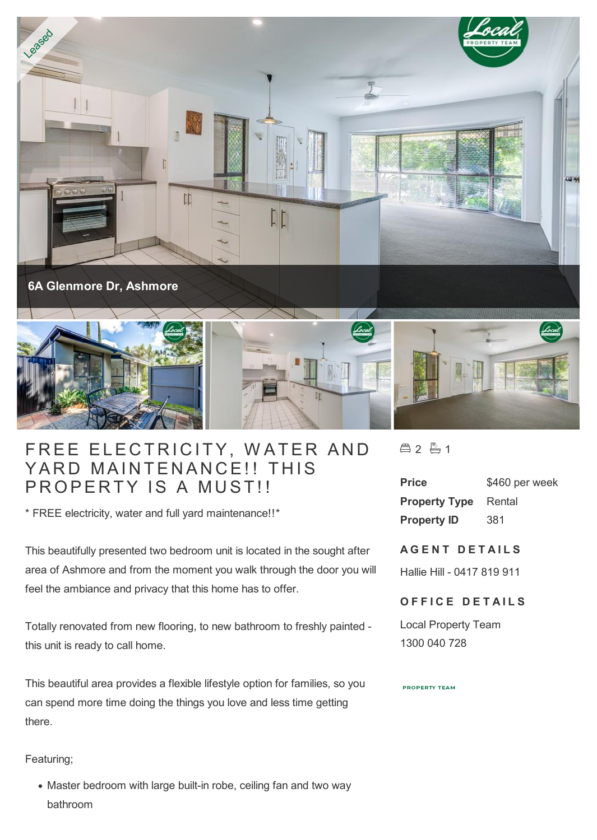

## FREE ELECTRICITY, WATER AND FREE ELECTRICITY, WATER AN<br>YARD MAINTENANCE!! THIS YARD MAINTENANCE!! THIS<br>PROPERTY IS A MUST!!

\* FREE electricity, water and full yard maintenance!!\*

This beautifully presented two bedroom unit is located in the sought after area of Ashmore and from the moment you walk through the door you will feel the ambiance and privacy that this home has to offer.

Totally renovated from new flooring, to new bathroom to freshly painted this unit is ready to call home.

This beautiful area provides a flexible lifestyle option for families, so you can spend more time doing the things you love and less time getting there.

Featuring;

• Master bedroom with large built-in robe, ceiling fan and two way bathroom

合2 1

| <b>Price</b>         | \$460 per week |
|----------------------|----------------|
| <b>Property Type</b> | Rental         |
| <b>Property ID</b>   | 381            |

## **A G E N T D E T A I L S**

Hallie Hill - 0417 819 911

## **OFFICE DETAILS**

Local Property Team 1300 040 728

## **PROPERTY TEAM**